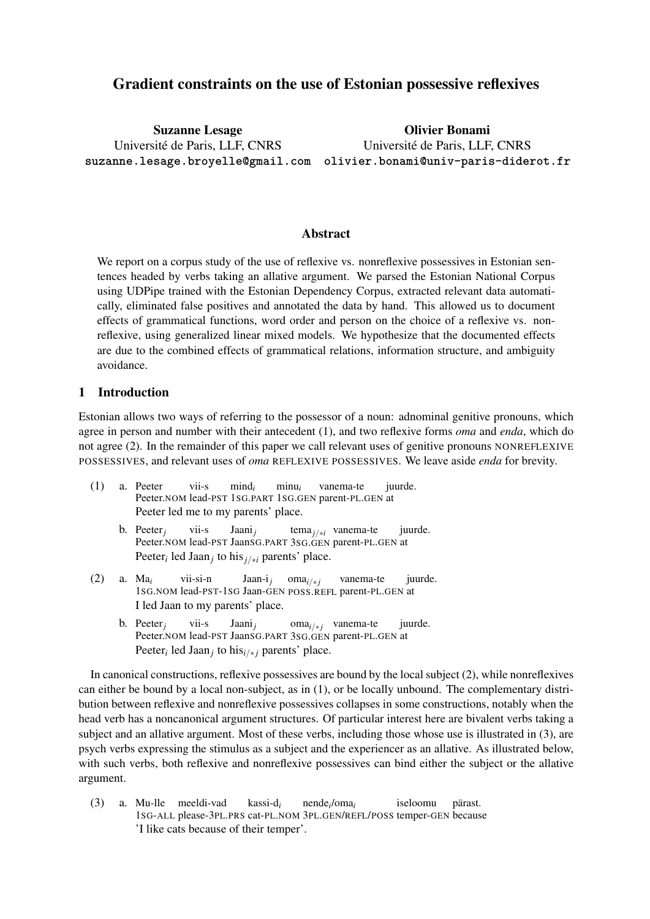# Gradient constraints on the use of Estonian possessive reflexives

Suzanne Lesage Université de Paris, LLF, CNRS

**suzanne.lesage.broyelle@gmail.com olivier.bonami@univ-paris-diderot.fr** Olivier Bonami Université de Paris, LLF, CNRS

### Abstract

We report on a corpus study of the use of reflexive vs. nonreflexive possessives in Estonian sentences headed by verbs taking an allative argument. We parsed the Estonian National Corpus using UDPipe trained with the Estonian Dependency Corpus, extracted relevant data automatically, eliminated false positives and annotated the data by hand. This allowed us to document effects of grammatical functions, word order and person on the choice of a reflexive vs. nonreflexive, using generalized linear mixed models. We hypothesize that the documented effects are due to the combined effects of grammatical relations, information structure, and ambiguity avoidance.

### 1 Introduction

Estonian allows two ways of referring to the possessor of a noun: adnominal genitive pronouns, which agree in person and number with their antecedent (1), and two reflexive forms *oma* and *enda*, which do not agree (2). In the remainder of this paper we call relevant uses of genitive pronouns NONREFLEXIVE POSSESSIVES, and relevant uses of *oma* REFLEXIVE POSSESSIVES. We leave aside *enda* for brevity.

- (1) a. Peeter Peeter.NOM lead-PST 1SG.PART 1SG.GEN parent-PL.GEN at vii-s mind*<sup>i</sup>* minu*<sup>i</sup>* vanema-te juurde. Peeter led me to my parents' place.
	- b. Peeter*<sup>j</sup>* Peeter.NOM lead-PST JaanSG.PART 3SG.GEN parent-PL.GEN at vii-s Jaani*<sup>j</sup>* tema*j/∗<sup>i</sup>* vanema-te juurde. Peeter*<sup>i</sup>* led Jaan*<sup>j</sup>* to his*j/∗<sup>i</sup>* parents' place.
- (2) a. Ma*<sup>i</sup>* 1SG.NOM lead-PST-1SG Jaan-GEN POSS.REFL parent-PL.GEN at vii-si-n Jaan-i*<sup>j</sup>* oma*i/<sup>∗</sup> <sup>j</sup>* vanema-te juurde. I led Jaan to my parents' place.
	- b. Peeter*<sup>j</sup>* Peeter.NOM lead-PST JaanSG.PART 3SG.GEN parent-PL.GEN at vii-s Jaani*<sup>j</sup>* oma<sub>*i*</sub>/<sub>*\*j*</sub> vanema-te juurde. Peeter*<sup>i</sup>* led Jaan*<sup>j</sup>* to his*i/<sup>∗</sup> <sup>j</sup>* parents' place.

In canonical constructions, reflexive possessives are bound by the local subject (2), while nonreflexives can either be bound by a local non-subject, as in (1), or be locally unbound. The complementary distribution between reflexive and nonreflexive possessives collapses in some constructions, notably when the head verb has a noncanonical argument structures. Of particular interest here are bivalent verbs taking a subject and an allative argument. Most of these verbs, including those whose use is illustrated in (3), are psych verbs expressing the stimulus as a subject and the experiencer as an allative. As illustrated below, with such verbs, both reflexive and nonreflexive possessives can bind either the subject or the allative argument.

(3) a. Mu-lle meeldi-vad 1SG-ALL please-3PL.PRS cat-PL.NOM 3PL.GEN/REFL/POSS temper-GEN because kassi-d*<sup>i</sup>* nende*<sup>i</sup>* /oma*<sup>i</sup>* iseloomu pärast. 'I like cats because of their temper'.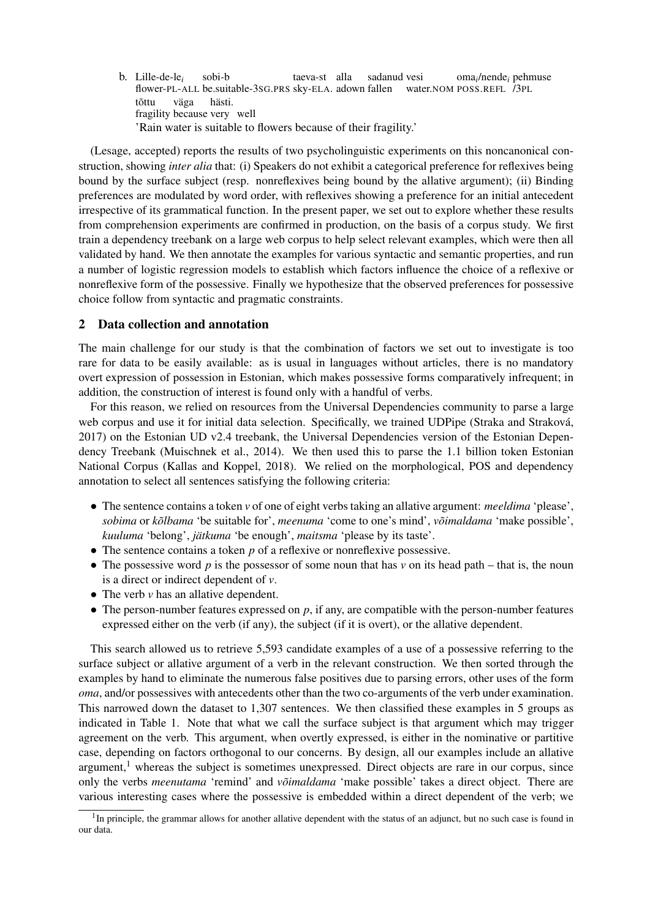b. Lille-de-le*<sup>i</sup>* flower-PL-ALL be.suitable-3SG.PRS sky-ELA. adown fallen sobi-b taeva-st alla sadanud vesi water.NOM POSS.REFL /3PL oma*<sup>i</sup>* /nende*<sup>i</sup>* pehmuse tõttu fragility because very well väga hästi. 'Rain water is suitable to flowers because of their fragility.'

(Lesage, accepted) reports the results of two psycholinguistic experiments on this noncanonical construction, showing *inter alia* that: (i) Speakers do not exhibit a categorical preference for reflexives being bound by the surface subject (resp. nonreflexives being bound by the allative argument); (ii) Binding preferences are modulated by word order, with reflexives showing a preference for an initial antecedent irrespective of its grammatical function. In the present paper, we set out to explore whether these results from comprehension experiments are confirmed in production, on the basis of a corpus study. We first train a dependency treebank on a large web corpus to help select relevant examples, which were then all validated by hand. We then annotate the examples for various syntactic and semantic properties, and run a number of logistic regression models to establish which factors influence the choice of a reflexive or nonreflexive form of the possessive. Finally we hypothesize that the observed preferences for possessive choice follow from syntactic and pragmatic constraints.

### 2 Data collection and annotation

The main challenge for our study is that the combination of factors we set out to investigate is too rare for data to be easily available: as is usual in languages without articles, there is no mandatory overt expression of possession in Estonian, which makes possessive forms comparatively infrequent; in addition, the construction of interest is found only with a handful of verbs.

For this reason, we relied on resources from the Universal Dependencies community to parse a large web corpus and use it for initial data selection. Specifically, we trained UDPipe (Straka and Straková, 2017) on the Estonian UD v2.4 treebank, the Universal Dependencies version of the Estonian Dependency Treebank (Muischnek et al., 2014). We then used this to parse the 1.1 billion token Estonian National Corpus (Kallas and Koppel, 2018). We relied on the morphological, POS and dependency annotation to select all sentences satisfying the following criteria:

- *•* The sentence contains a token *v* of one of eight verbs taking an allative argument: *meeldima* 'please', *sobima* or *kõlbama* 'be suitable for', *meenuma* 'come to one's mind', *võimaldama* 'make possible', *kuuluma* 'belong', *jätkuma* 'be enough', *maitsma* 'please by its taste'.
- The sentence contains a token *p* of a reflexive or nonreflexive possessive.
- The possessive word *p* is the possessor of some noun that has *v* on its head path that is, the noun is a direct or indirect dependent of *v*.
- The verb *v* has an allative dependent.
- The person-number features expressed on *p*, if any, are compatible with the person-number features expressed either on the verb (if any), the subject (if it is overt), or the allative dependent.

This search allowed us to retrieve 5,593 candidate examples of a use of a possessive referring to the surface subject or allative argument of a verb in the relevant construction. We then sorted through the examples by hand to eliminate the numerous false positives due to parsing errors, other uses of the form *oma*, and/or possessives with antecedents other than the two co-arguments of the verb under examination. This narrowed down the dataset to 1,307 sentences. We then classified these examples in 5 groups as indicated in Table 1. Note that what we call the surface subject is that argument which may trigger agreement on the verb. This argument, when overtly expressed, is either in the nominative or partitive case, depending on factors orthogonal to our concerns. By design, all our examples include an allative argument, $<sup>1</sup>$  whereas the subject is sometimes unexpressed. Direct objects are rare in our corpus, since</sup> only the verbs *meenutama* 'remind' and *võimaldama* 'make possible' takes a direct object. There are various interesting cases where the possessive is embedded within a direct dependent of the verb; we

<sup>&</sup>lt;sup>1</sup>In principle, the grammar allows for another allative dependent with the status of an adjunct, but no such case is found in our data.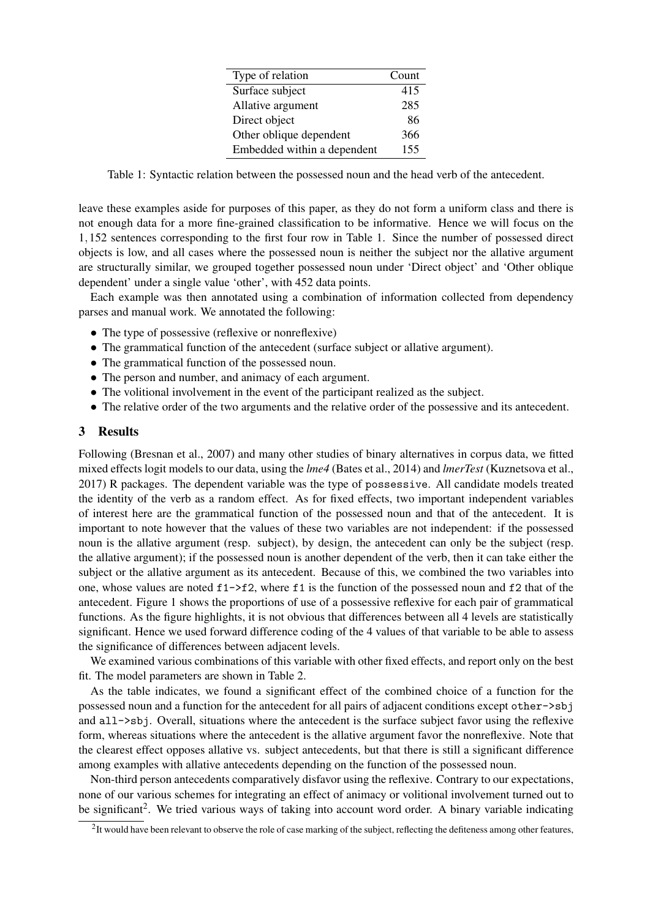| Type of relation            | Count |
|-----------------------------|-------|
| Surface subject             | 415   |
| Allative argument           | 285   |
| Direct object               | 86    |
| Other oblique dependent     | 366   |
| Embedded within a dependent | 155   |

Table 1: Syntactic relation between the possessed noun and the head verb of the antecedent.

leave these examples aside for purposes of this paper, as they do not form a uniform class and there is not enough data for a more fine-grained classification to be informative. Hence we will focus on the 1*,*152 sentences corresponding to the first four row in Table 1. Since the number of possessed direct objects is low, and all cases where the possessed noun is neither the subject nor the allative argument are structurally similar, we grouped together possessed noun under 'Direct object' and 'Other oblique dependent' under a single value 'other', with 452 data points.

Each example was then annotated using a combination of information collected from dependency parses and manual work. We annotated the following:

- The type of possessive (reflexive or nonreflexive)
- The grammatical function of the antecedent (surface subject or allative argument).
- The grammatical function of the possessed noun.
- The person and number, and animacy of each argument.
- The volitional involvement in the event of the participant realized as the subject.
- The relative order of the two arguments and the relative order of the possessive and its antecedent.

#### 3 Results

Following (Bresnan et al., 2007) and many other studies of binary alternatives in corpus data, we fitted mixed effects logit models to our data, using the *lme4* (Bates et al., 2014) and *lmerTest* (Kuznetsova et al., 2017) R packages. The dependent variable was the type of possessive. All candidate models treated the identity of the verb as a random effect. As for fixed effects, two important independent variables of interest here are the grammatical function of the possessed noun and that of the antecedent. It is important to note however that the values of these two variables are not independent: if the possessed noun is the allative argument (resp. subject), by design, the antecedent can only be the subject (resp. the allative argument); if the possessed noun is another dependent of the verb, then it can take either the subject or the allative argument as its antecedent. Because of this, we combined the two variables into one, whose values are noted  $f1 \rightarrow f2$ , where f1 is the function of the possessed noun and f2 that of the antecedent. Figure 1 shows the proportions of use of a possessive reflexive for each pair of grammatical functions. As the figure highlights, it is not obvious that differences between all 4 levels are statistically significant. Hence we used forward difference coding of the 4 values of that variable to be able to assess the significance of differences between adjacent levels.

We examined various combinations of this variable with other fixed effects, and report only on the best fit. The model parameters are shown in Table 2.

As the table indicates, we found a significant effect of the combined choice of a function for the possessed noun and a function for the antecedent for all pairs of adjacent conditions except other->sbj and all->sbj. Overall, situations where the antecedent is the surface subject favor using the reflexive form, whereas situations where the antecedent is the allative argument favor the nonreflexive. Note that the clearest effect opposes allative vs. subject antecedents, but that there is still a significant difference among examples with allative antecedents depending on the function of the possessed noun.

Non-third person antecedents comparatively disfavor using the reflexive. Contrary to our expectations, none of our various schemes for integrating an effect of animacy or volitional involvement turned out to be significant<sup>2</sup>. We tried various ways of taking into account word order. A binary variable indicating

 $2$ It would have been relevant to observe the role of case marking of the subject, reflecting the defiteness among other features,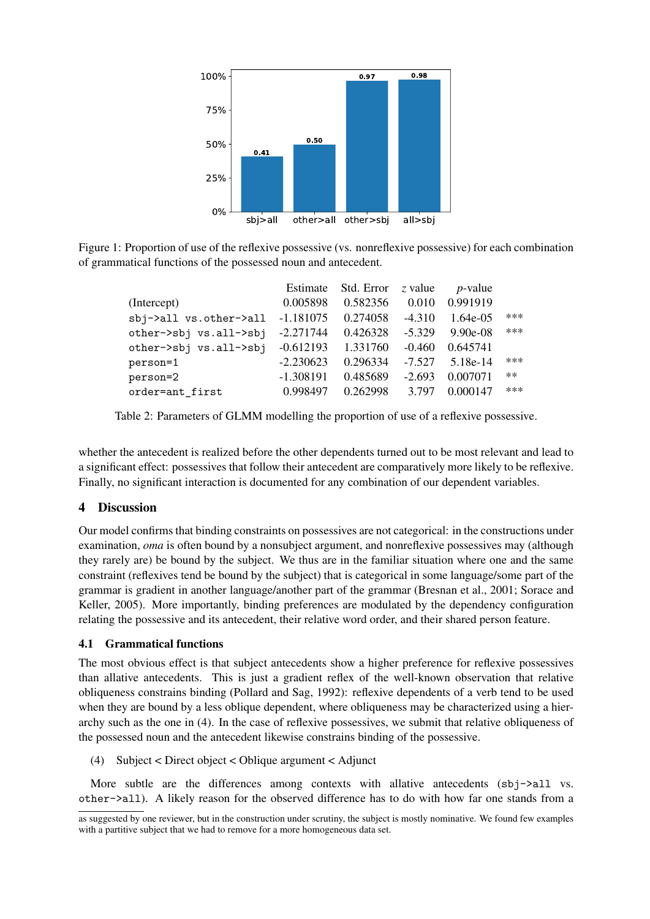

Figure 1: Proportion of use of the reflexive possessive (vs. nonreflexive possessive) for each combination of grammatical functions of the possessed noun and antecedent.

|                        | Estimate    | Std. Error | z value  | <i>p</i> -value |       |
|------------------------|-------------|------------|----------|-----------------|-------|
| (Intercept)            | 0.005898    | 0.582356   | 0.010    | 0.991919        |       |
| sbj->all vs.other->all | $-1.181075$ | 0.274058   | $-4.310$ | 1.64e-05        | ***   |
| other->sbj vs.all->sbj | $-2.271744$ | 0.426328   | $-5.329$ | $9.90e-08$      | ***   |
| other->sbj vs.all->sbj | $-0.612193$ | 1.331760   | $-0.460$ | 0.645741        |       |
| person=1               | $-2.230623$ | 0.296334   | $-7.527$ | 5.18e-14        | $***$ |
| person=2               | $-1.308191$ | 0.485689   | $-2.693$ | 0.007071        | $***$ |
| order=ant first        | 0.998497    | 0.262998   | 3.797    | 0.000147        | $***$ |

Table 2: Parameters of GLMM modelling the proportion of use of a reflexive possessive.

whether the antecedent is realized before the other dependents turned out to be most relevant and lead to a significant effect: possessives that follow their antecedent are comparatively more likely to be reflexive. Finally, no significant interaction is documented for any combination of our dependent variables.

## 4 Discussion

Our model confirms that binding constraints on possessives are not categorical: in the constructions under examination, *oma* is often bound by a nonsubject argument, and nonreflexive possessives may (although they rarely are) be bound by the subject. We thus are in the familiar situation where one and the same constraint (reflexives tend be bound by the subject) that is categorical in some language/some part of the grammar is gradient in another language/another part of the grammar (Bresnan et al., 2001; Sorace and Keller, 2005). More importantly, binding preferences are modulated by the dependency configuration relating the possessive and its antecedent, their relative word order, and their shared person feature.

### 4.1 Grammatical functions

The most obvious effect is that subject antecedents show a higher preference for reflexive possessives than allative antecedents. This is just a gradient reflex of the well-known observation that relative obliqueness constrains binding (Pollard and Sag, 1992): reflexive dependents of a verb tend to be used when they are bound by a less oblique dependent, where obliqueness may be characterized using a hierarchy such as the one in (4). In the case of reflexive possessives, we submit that relative obliqueness of the possessed noun and the antecedent likewise constrains binding of the possessive.

(4) Subject < Direct object < Oblique argument < Adjunct

More subtle are the differences among contexts with allative antecedents  $(sbi-2a11$  vs. other->all). A likely reason for the observed difference has to do with how far one stands from a

as suggested by one reviewer, but in the construction under scrutiny, the subject is mostly nominative. We found few examples with a partitive subject that we had to remove for a more homogeneous data set.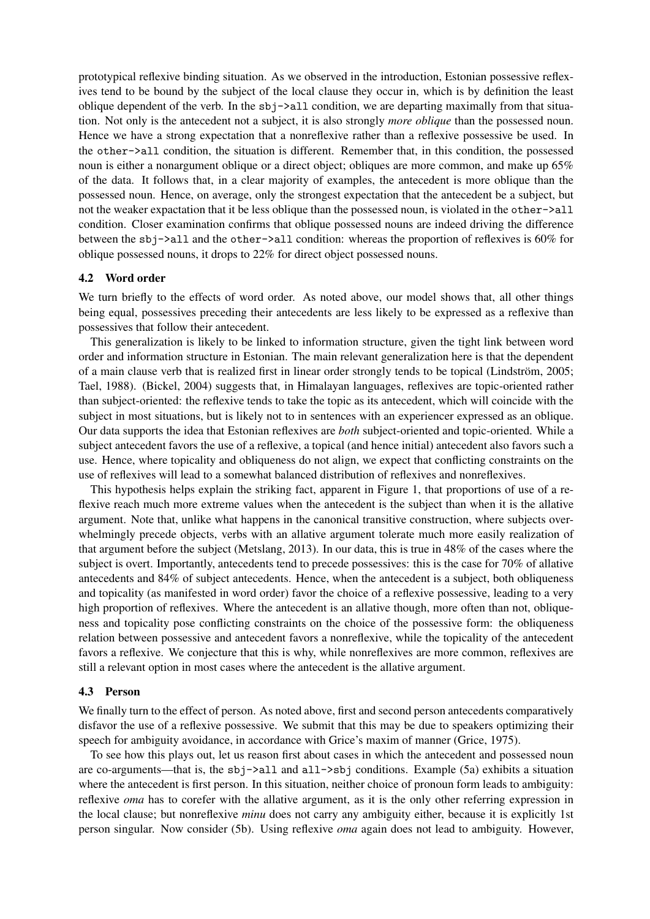prototypical reflexive binding situation. As we observed in the introduction, Estonian possessive reflexives tend to be bound by the subject of the local clause they occur in, which is by definition the least oblique dependent of the verb. In the  $sbj->}$ all condition, we are departing maximally from that situation. Not only is the antecedent not a subject, it is also strongly *more oblique* than the possessed noun. Hence we have a strong expectation that a nonreflexive rather than a reflexive possessive be used. In the other->all condition, the situation is different. Remember that, in this condition, the possessed noun is either a nonargument oblique or a direct object; obliques are more common, and make up 65% of the data. It follows that, in a clear majority of examples, the antecedent is more oblique than the possessed noun. Hence, on average, only the strongest expectation that the antecedent be a subject, but not the weaker expactation that it be less oblique than the possessed noun, is violated in the other->all condition. Closer examination confirms that oblique possessed nouns are indeed driving the difference between the sbj->all and the other->all condition: whereas the proportion of reflexives is 60% for oblique possessed nouns, it drops to 22% for direct object possessed nouns.

#### 4.2 Word order

We turn briefly to the effects of word order. As noted above, our model shows that, all other things being equal, possessives preceding their antecedents are less likely to be expressed as a reflexive than possessives that follow their antecedent.

This generalization is likely to be linked to information structure, given the tight link between word order and information structure in Estonian. The main relevant generalization here is that the dependent of a main clause verb that is realized first in linear order strongly tends to be topical (Lindström, 2005; Tael, 1988). (Bickel, 2004) suggests that, in Himalayan languages, reflexives are topic-oriented rather than subject-oriented: the reflexive tends to take the topic as its antecedent, which will coincide with the subject in most situations, but is likely not to in sentences with an experiencer expressed as an oblique. Our data supports the idea that Estonian reflexives are *both* subject-oriented and topic-oriented. While a subject antecedent favors the use of a reflexive, a topical (and hence initial) antecedent also favors such a use. Hence, where topicality and obliqueness do not align, we expect that conflicting constraints on the use of reflexives will lead to a somewhat balanced distribution of reflexives and nonreflexives.

This hypothesis helps explain the striking fact, apparent in Figure 1, that proportions of use of a reflexive reach much more extreme values when the antecedent is the subject than when it is the allative argument. Note that, unlike what happens in the canonical transitive construction, where subjects overwhelmingly precede objects, verbs with an allative argument tolerate much more easily realization of that argument before the subject (Metslang, 2013). In our data, this is true in 48% of the cases where the subject is overt. Importantly, antecedents tend to precede possessives: this is the case for 70% of allative antecedents and 84% of subject antecedents. Hence, when the antecedent is a subject, both obliqueness and topicality (as manifested in word order) favor the choice of a reflexive possessive, leading to a very high proportion of reflexives. Where the antecedent is an allative though, more often than not, obliqueness and topicality pose conflicting constraints on the choice of the possessive form: the obliqueness relation between possessive and antecedent favors a nonreflexive, while the topicality of the antecedent favors a reflexive. We conjecture that this is why, while nonreflexives are more common, reflexives are still a relevant option in most cases where the antecedent is the allative argument.

#### 4.3 Person

We finally turn to the effect of person. As noted above, first and second person antecedents comparatively disfavor the use of a reflexive possessive. We submit that this may be due to speakers optimizing their speech for ambiguity avoidance, in accordance with Grice's maxim of manner (Grice, 1975).

To see how this plays out, let us reason first about cases in which the antecedent and possessed noun are co-arguments—that is, the sbj->all and all->sbj conditions. Example (5a) exhibits a situation where the antecedent is first person. In this situation, neither choice of pronoun form leads to ambiguity: reflexive *oma* has to corefer with the allative argument, as it is the only other referring expression in the local clause; but nonreflexive *minu* does not carry any ambiguity either, because it is explicitly 1st person singular. Now consider (5b). Using reflexive *oma* again does not lead to ambiguity. However,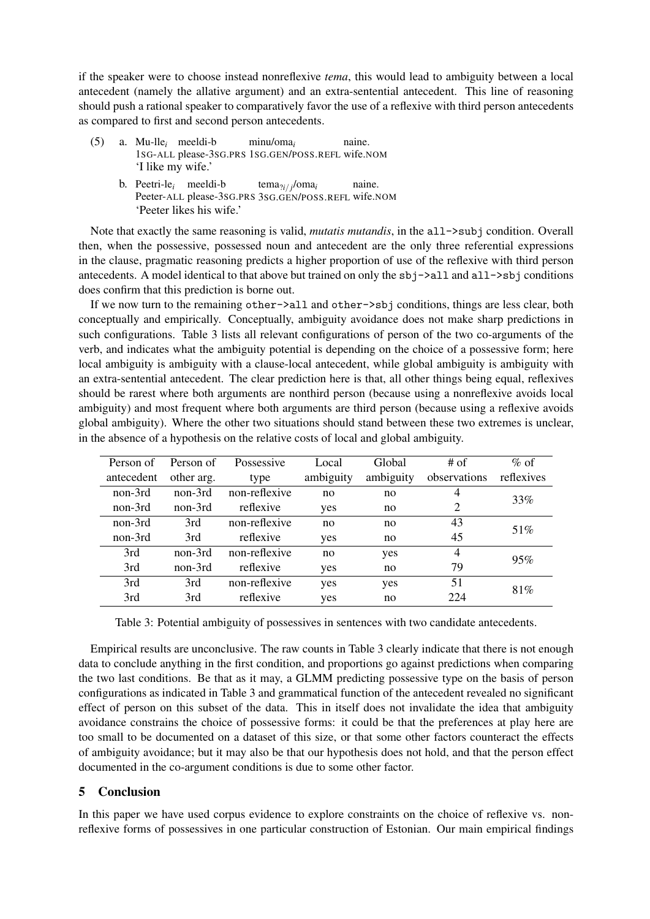if the speaker were to choose instead nonreflexive *tema*, this would lead to ambiguity between a local antecedent (namely the allative argument) and an extra-sentential antecedent. This line of reasoning should push a rational speaker to comparatively favor the use of a reflexive with third person antecedents as compared to first and second person antecedents.

- (5) a. Mu-lle*<sup>i</sup>* meeldi-b 1SG-ALL please-3SG.PRS 1SG.GEN/POSS.REFL wife.NOM minu/oma*<sup>i</sup>* naine. 'I like my wife.'
	- b. Peetri-le*<sup>i</sup>* meeldi-b Peeter-ALL please-3SG.PRS 3SG.GEN/POSS.REFL wife.NOM tema?*i/ <sup>j</sup>* /oma*<sup>i</sup>* naine. 'Peeter likes his wife.'

Note that exactly the same reasoning is valid, *mutatis mutandis*, in the all->subj condition. Overall then, when the possessive, possessed noun and antecedent are the only three referential expressions in the clause, pragmatic reasoning predicts a higher proportion of use of the reflexive with third person antecedents. A model identical to that above but trained on only the  $sbi-\lambda a 11$  and  $a 11-\lambda s b j$  conditions does confirm that this prediction is borne out.

If we now turn to the remaining other->all and other->sbj conditions, things are less clear, both conceptually and empirically. Conceptually, ambiguity avoidance does not make sharp predictions in such configurations. Table 3 lists all relevant configurations of person of the two co-arguments of the verb, and indicates what the ambiguity potential is depending on the choice of a possessive form; here local ambiguity is ambiguity with a clause-local antecedent, while global ambiguity is ambiguity with an extra-sentential antecedent. The clear prediction here is that, all other things being equal, reflexives should be rarest where both arguments are nonthird person (because using a nonreflexive avoids local ambiguity) and most frequent where both arguments are third person (because using a reflexive avoids global ambiguity). Where the other two situations should stand between these two extremes is unclear, in the absence of a hypothesis on the relative costs of local and global ambiguity.

| Person of  | Person of  | Possessive    | Local     | Global    | $#$ of         | $\%$ of    |
|------------|------------|---------------|-----------|-----------|----------------|------------|
| antecedent | other arg. | type          | ambiguity | ambiguity | observations   | reflexives |
| non-3rd    | non-3rd    | non-reflexive | no        | no        | 4              | 33%        |
| non-3rd    | non-3rd    | reflexive     | yes       | no        | 2              |            |
| non-3rd    | 3rd        | non-reflexive | no        | no        | 43             | 51\%       |
| non-3rd    | 3rd        | reflexive     | yes       | no        | 45             |            |
| 3rd        | non-3rd    | non-reflexive | no        | yes       | $\overline{4}$ | 95%        |
| 3rd        | non-3rd    | reflexive     | yes       | no        | 79             |            |
| 3rd        | 3rd        | non-reflexive | yes       | yes       | 51             | 81\%       |
| 3rd        | 3rd        | reflexive     | yes       | no        | 224            |            |

Table 3: Potential ambiguity of possessives in sentences with two candidate antecedents.

Empirical results are unconclusive. The raw counts in Table 3 clearly indicate that there is not enough data to conclude anything in the first condition, and proportions go against predictions when comparing the two last conditions. Be that as it may, a GLMM predicting possessive type on the basis of person configurations as indicated in Table 3 and grammatical function of the antecedent revealed no significant effect of person on this subset of the data. This in itself does not invalidate the idea that ambiguity avoidance constrains the choice of possessive forms: it could be that the preferences at play here are too small to be documented on a dataset of this size, or that some other factors counteract the effects of ambiguity avoidance; but it may also be that our hypothesis does not hold, and that the person effect documented in the co-argument conditions is due to some other factor.

## 5 Conclusion

In this paper we have used corpus evidence to explore constraints on the choice of reflexive vs. nonreflexive forms of possessives in one particular construction of Estonian. Our main empirical findings